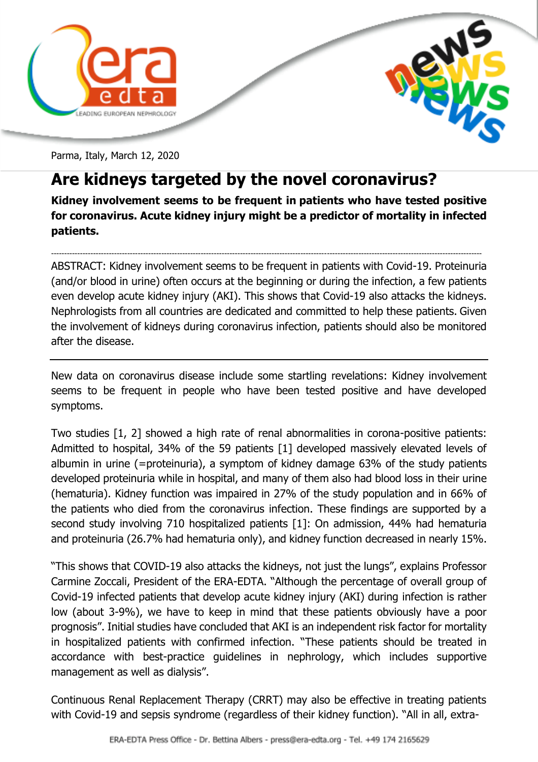



Parma, Italy, March 12, 2020

## **Are kidneys targeted by the novel coronavirus?**

**Kidney involvement seems to be frequent in patients who have tested positive for coronavirus. Acute kidney injury might be a predictor of mortality in infected patients.**

-------------------------------------------------------------------------------------------------------------------------------------------------------------------- ABSTRACT: Kidney involvement seems to be frequent in patients with Covid-19. Proteinuria (and/or blood in urine) often occurs at the beginning or during the infection, a few patients even develop acute kidney injury (AKI). This shows that Covid-19 also attacks the kidneys. Nephrologists from all countries are dedicated and committed to help these patients. Given the involvement of kidneys during coronavirus infection, patients should also be monitored after the disease.

New data on coronavirus disease include some startling revelations: Kidney involvement seems to be frequent in people who have been tested positive and have developed symptoms.

Two studies [1, 2] showed a high rate of renal abnormalities in corona-positive patients: Admitted to hospital, 34% of the 59 patients [1] developed massively elevated levels of albumin in urine (=proteinuria), a symptom of kidney damage 63% of the study patients developed proteinuria while in hospital, and many of them also had blood loss in their urine (hematuria). Kidney function was impaired in 27% of the study population and in 66% of the patients who died from the coronavirus infection. These findings are supported by a second study involving 710 hospitalized patients [1]: On admission, 44% had hematuria and proteinuria (26.7% had hematuria only), and kidney function decreased in nearly 15%.

"This shows that COVID-19 also attacks the kidneys, not just the lungs", explains Professor Carmine Zoccali, President of the ERA-EDTA. "Although the percentage of overall group of Covid-19 infected patients that develop acute kidney injury (AKI) during infection is rather low (about 3-9%), we have to keep in mind that these patients obviously have a poor prognosis". Initial studies have concluded that AKI is an independent risk factor for mortality in hospitalized patients with confirmed infection. "These patients should be treated in accordance with best-practice guidelines in nephrology, which includes supportive management as well as dialysis".

Continuous Renal Replacement Therapy (CRRT) may also be effective in treating patients with Covid-19 and sepsis syndrome (regardless of their kidney function). "All in all, extra-